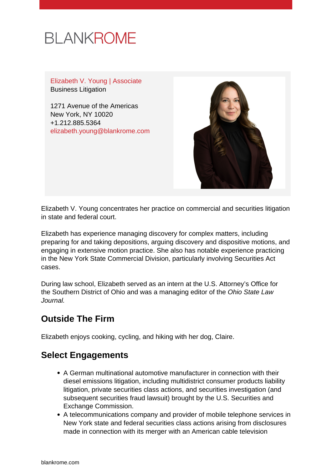

Elizabeth V. Young | Associate Business Litigation

1271 Avenue of the Americas New York, NY 10020 +1.212.885.5364 [elizabeth.young@blankrome.com](mailto:elizabeth.young@blankrome.com)



Elizabeth V. Young concentrates her practice on commercial and securities litigation in state and federal court.

Elizabeth has experience managing discovery for complex matters, including preparing for and taking depositions, arguing discovery and dispositive motions, and engaging in extensive motion practice. She also has notable experience practicing in the New York State Commercial Division, particularly involving Securities Act cases.

During law school, Elizabeth served as an intern at the U.S. Attorney's Office for the Southern District of Ohio and was a managing editor of the Ohio State Law Journal.

## **Outside The Firm**

Elizabeth enjoys cooking, cycling, and hiking with her dog, Claire.

## **Select Engagements**

- A German multinational automotive manufacturer in connection with their diesel emissions litigation, including multidistrict consumer products liability litigation, private securities class actions, and securities investigation (and subsequent securities fraud lawsuit) brought by the U.S. Securities and Exchange Commission.
- A telecommunications company and provider of mobile telephone services in New York state and federal securities class actions arising from disclosures made in connection with its merger with an American cable television